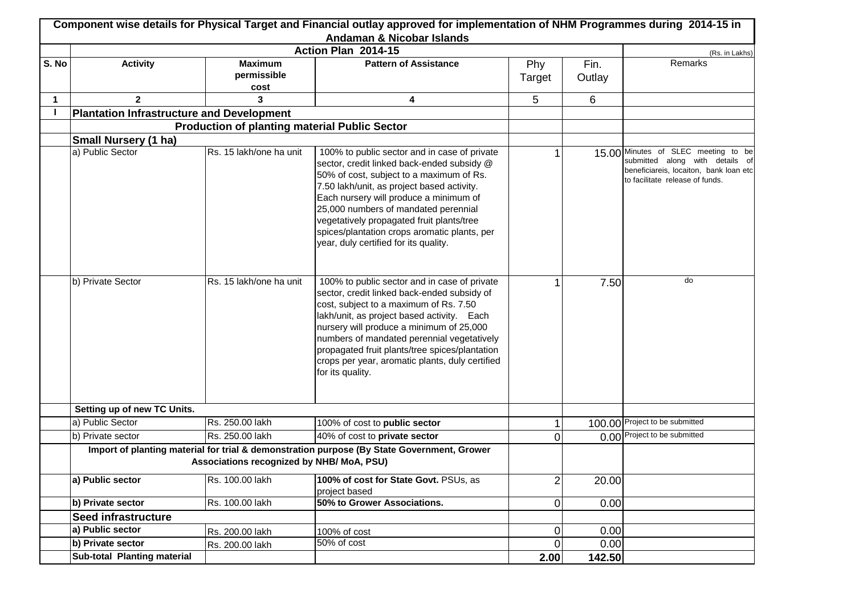|       |                                                  |                                                      | Component wise details for Physical Target and Financial outlay approved for implementation of NHM Programmes during 2014-15 in<br>Andaman & Nicobar Islands                                                                                                                                                                                                                                                 |                |                |                                                                                                                                                     |
|-------|--------------------------------------------------|------------------------------------------------------|--------------------------------------------------------------------------------------------------------------------------------------------------------------------------------------------------------------------------------------------------------------------------------------------------------------------------------------------------------------------------------------------------------------|----------------|----------------|-----------------------------------------------------------------------------------------------------------------------------------------------------|
|       |                                                  |                                                      | Action Plan 2014-15                                                                                                                                                                                                                                                                                                                                                                                          |                |                | (Rs. in Lakhs)                                                                                                                                      |
| S. No | <b>Activity</b>                                  | <b>Maximum</b><br>permissible<br>cost                | <b>Pattern of Assistance</b>                                                                                                                                                                                                                                                                                                                                                                                 | Phy<br>Target  | Fin.<br>Outlay | Remarks                                                                                                                                             |
| 1     | $\overline{2}$                                   | 3                                                    | 4                                                                                                                                                                                                                                                                                                                                                                                                            | 5              | 6              |                                                                                                                                                     |
|       | <b>Plantation Infrastructure and Development</b> |                                                      |                                                                                                                                                                                                                                                                                                                                                                                                              |                |                |                                                                                                                                                     |
|       |                                                  | <b>Production of planting material Public Sector</b> |                                                                                                                                                                                                                                                                                                                                                                                                              |                |                |                                                                                                                                                     |
|       | <b>Small Nursery (1 ha)</b>                      |                                                      |                                                                                                                                                                                                                                                                                                                                                                                                              |                |                |                                                                                                                                                     |
|       | a) Public Sector                                 | Rs. 15 lakh/one ha unit                              | 100% to public sector and in case of private<br>sector, credit linked back-ended subsidy @<br>50% of cost, subject to a maximum of Rs.<br>7.50 lakh/unit, as project based activity.<br>Each nursery will produce a minimum of<br>25,000 numbers of mandated perennial<br>vegetatively propagated fruit plants/tree<br>spices/plantation crops aromatic plants, per<br>year, duly certified for its quality. |                |                | 15.00 Minutes of SLEC meeting to be<br>submitted along with details of<br>beneficiareis, locaiton, bank loan etc<br>to facilitate release of funds. |
|       | b) Private Sector                                | Rs. 15 lakh/one ha unit                              | 100% to public sector and in case of private<br>sector, credit linked back-ended subsidy of<br>cost, subject to a maximum of Rs. 7.50<br>lakh/unit, as project based activity. Each<br>nursery will produce a minimum of 25,000<br>numbers of mandated perennial vegetatively<br>propagated fruit plants/tree spices/plantation<br>crops per year, aromatic plants, duly certified<br>for its quality.       |                | 7.50           | do                                                                                                                                                  |
|       | Setting up of new TC Units.                      |                                                      |                                                                                                                                                                                                                                                                                                                                                                                                              |                |                |                                                                                                                                                     |
|       | a) Public Sector                                 | Rs. 250.00 lakh                                      | 100% of cost to public sector                                                                                                                                                                                                                                                                                                                                                                                | 1              |                | 100.00 Project to be submitted                                                                                                                      |
|       | b) Private sector                                | Rs. 250.00 lakh                                      | 40% of cost to private sector                                                                                                                                                                                                                                                                                                                                                                                | 0              |                | 0.00 Project to be submitted                                                                                                                        |
|       |                                                  | Associations recognized by NHB/ MoA, PSU)            | Import of planting material for trial & demonstration purpose (By State Government, Grower                                                                                                                                                                                                                                                                                                                   |                |                |                                                                                                                                                     |
|       | a) Public sector                                 | Rs. 100.00 lakh                                      | 100% of cost for State Govt. PSUs, as<br>project based                                                                                                                                                                                                                                                                                                                                                       | $\mathbf{2}$   | 20.00          |                                                                                                                                                     |
|       | b) Private sector                                | Rs. 100.00 lakh                                      | 50% to Grower Associations.                                                                                                                                                                                                                                                                                                                                                                                  | $\overline{0}$ | 0.00           |                                                                                                                                                     |
|       | Seed infrastructure                              |                                                      |                                                                                                                                                                                                                                                                                                                                                                                                              |                |                |                                                                                                                                                     |
|       | a) Public sector                                 | Rs. 200.00 lakh                                      | 100% of cost                                                                                                                                                                                                                                                                                                                                                                                                 | $\overline{0}$ | 0.00           |                                                                                                                                                     |
|       | b) Private sector                                | Rs. 200.00 lakh                                      | 50% of cost                                                                                                                                                                                                                                                                                                                                                                                                  | 0              | 0.00           |                                                                                                                                                     |
|       | Sub-total Planting material                      |                                                      |                                                                                                                                                                                                                                                                                                                                                                                                              | 2.00           | 142.50         |                                                                                                                                                     |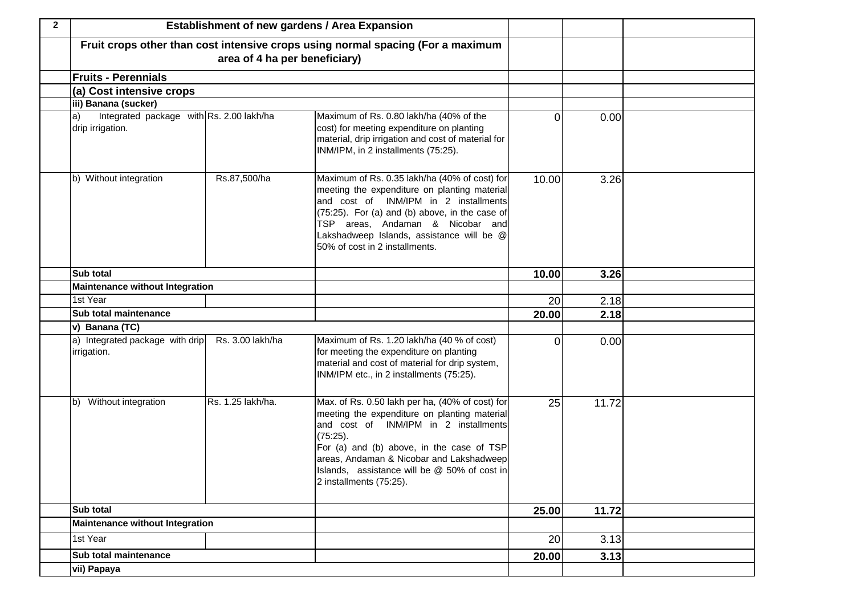| $\mathbf{2}$ |                                                                     | <b>Establishment of new gardens / Area Expansion</b> |                                                                                                                                                                                                                                                                                                                          |       |       |  |
|--------------|---------------------------------------------------------------------|------------------------------------------------------|--------------------------------------------------------------------------------------------------------------------------------------------------------------------------------------------------------------------------------------------------------------------------------------------------------------------------|-------|-------|--|
|              |                                                                     | area of 4 ha per beneficiary)                        | Fruit crops other than cost intensive crops using normal spacing (For a maximum                                                                                                                                                                                                                                          |       |       |  |
|              | <b>Fruits - Perennials</b>                                          |                                                      |                                                                                                                                                                                                                                                                                                                          |       |       |  |
|              | (a) Cost intensive crops                                            |                                                      |                                                                                                                                                                                                                                                                                                                          |       |       |  |
|              | iii) Banana (sucker)                                                |                                                      |                                                                                                                                                                                                                                                                                                                          |       |       |  |
|              | Integrated package with Rs. 2.00 lakh/ha<br> a <br>drip irrigation. |                                                      | Maximum of Rs. 0.80 lakh/ha (40% of the<br>cost) for meeting expenditure on planting<br>material, drip irrigation and cost of material for<br>INM/IPM, in 2 installments (75:25).                                                                                                                                        | 0     | 0.00  |  |
|              | b) Without integration                                              | Rs.87,500/ha                                         | Maximum of Rs. 0.35 lakh/ha (40% of cost) for<br>meeting the expenditure on planting material<br>and cost of INM/IPM in 2 installments<br>(75:25). For (a) and (b) above, in the case of<br>TSP areas, Andaman & Nicobar and<br>Lakshadweep Islands, assistance will be @<br>50% of cost in 2 installments.              | 10.00 | 3.26  |  |
|              | Sub total                                                           |                                                      |                                                                                                                                                                                                                                                                                                                          | 10.00 | 3.26  |  |
|              | <b>Maintenance without Integration</b>                              |                                                      |                                                                                                                                                                                                                                                                                                                          |       |       |  |
|              | 1st Year                                                            |                                                      |                                                                                                                                                                                                                                                                                                                          | 20    | 2.18  |  |
|              | Sub total maintenance                                               |                                                      |                                                                                                                                                                                                                                                                                                                          | 20.00 | 2.18  |  |
|              | v) Banana (TC)                                                      |                                                      |                                                                                                                                                                                                                                                                                                                          |       |       |  |
|              | a) Integrated package with drip<br>irrigation.                      | Rs. 3.00 lakh/ha                                     | Maximum of Rs. 1.20 lakh/ha (40 % of cost)<br>for meeting the expenditure on planting<br>material and cost of material for drip system,<br>INM/IPM etc., in 2 installments (75:25).                                                                                                                                      | 0     | 0.00  |  |
|              | b) Without integration                                              | Rs. 1.25 lakh/ha.                                    | Max. of Rs. 0.50 lakh per ha, (40% of cost) for<br>meeting the expenditure on planting material<br>and cost of INM/IPM in 2 installments<br>(75:25).<br>For (a) and (b) above, in the case of TSP<br>areas, Andaman & Nicobar and Lakshadweep<br>Islands, assistance will be @ 50% of cost in<br>2 installments (75:25). | 25    | 11.72 |  |
|              | Sub total                                                           |                                                      |                                                                                                                                                                                                                                                                                                                          | 25.00 | 11.72 |  |
|              | <b>Maintenance without Integration</b>                              |                                                      |                                                                                                                                                                                                                                                                                                                          |       |       |  |
|              | 1st Year                                                            |                                                      |                                                                                                                                                                                                                                                                                                                          | 20    | 3.13  |  |
|              | Sub total maintenance                                               |                                                      |                                                                                                                                                                                                                                                                                                                          | 20.00 | 3.13  |  |
|              | vii) Papaya                                                         |                                                      |                                                                                                                                                                                                                                                                                                                          |       |       |  |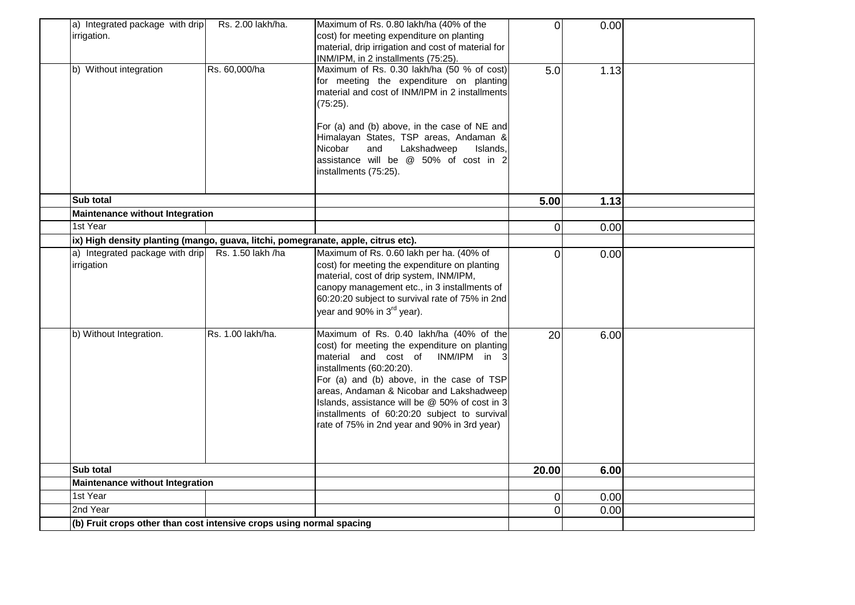| a) Integrated package with drip<br>irrigation.<br>b) Without integration          | Rs. 2.00 lakh/ha.<br>Rs. 60,000/ha | Maximum of Rs. 0.80 lakh/ha (40% of the<br>cost) for meeting expenditure on planting<br>material, drip irrigation and cost of material for<br>INM/IPM, in 2 installments (75:25).<br>Maximum of Rs. 0.30 lakh/ha (50 % of cost)<br>for meeting the expenditure on planting<br>material and cost of INM/IPM in 2 installments<br>(75:25).<br>For (a) and (b) above, in the case of NE and<br>Himalayan States, TSP areas, Andaman &<br>Nicobar<br>Lakshadweep<br>and<br>Islands,<br>assistance will be @ 50% of cost in 2<br>installments (75:25). | $\overline{0}$<br>5.0 | 0.00<br>1.13 |  |
|-----------------------------------------------------------------------------------|------------------------------------|---------------------------------------------------------------------------------------------------------------------------------------------------------------------------------------------------------------------------------------------------------------------------------------------------------------------------------------------------------------------------------------------------------------------------------------------------------------------------------------------------------------------------------------------------|-----------------------|--------------|--|
|                                                                                   |                                    |                                                                                                                                                                                                                                                                                                                                                                                                                                                                                                                                                   |                       |              |  |
| Sub total                                                                         |                                    |                                                                                                                                                                                                                                                                                                                                                                                                                                                                                                                                                   | 5.00                  | 1.13         |  |
| <b>Maintenance without Integration</b>                                            |                                    |                                                                                                                                                                                                                                                                                                                                                                                                                                                                                                                                                   |                       |              |  |
| 1st Year                                                                          |                                    |                                                                                                                                                                                                                                                                                                                                                                                                                                                                                                                                                   | $\overline{0}$        | 0.00         |  |
| ix) High density planting (mango, guava, litchi, pomegranate, apple, citrus etc). |                                    |                                                                                                                                                                                                                                                                                                                                                                                                                                                                                                                                                   |                       |              |  |
| a) Integrated package with drip<br>irrigation                                     | Rs. 1.50 lakh /ha                  | Maximum of Rs. 0.60 lakh per ha. (40% of<br>cost) for meeting the expenditure on planting<br>material, cost of drip system, INM/IPM,<br>canopy management etc., in 3 installments of<br>60:20:20 subject to survival rate of 75% in 2nd<br>year and 90% in 3 <sup>rd</sup> year).                                                                                                                                                                                                                                                                 | $\overline{0}$        | 0.00         |  |
| b) Without Integration.                                                           | Rs. 1.00 lakh/ha.                  | Maximum of Rs. 0.40 lakh/ha (40% of the<br>cost) for meeting the expenditure on planting<br>material and cost of<br>INM/IPM in 3<br>installments (60:20:20).<br>For (a) and (b) above, in the case of TSP<br>areas, Andaman & Nicobar and Lakshadweep<br>Islands, assistance will be @ 50% of cost in 3<br>installments of 60:20:20 subject to survival<br>rate of 75% in 2nd year and 90% in 3rd year)                                                                                                                                           | 20                    | 6.00         |  |
| Sub total                                                                         |                                    |                                                                                                                                                                                                                                                                                                                                                                                                                                                                                                                                                   | 20.00                 | 6.00         |  |
| <b>Maintenance without Integration</b>                                            |                                    |                                                                                                                                                                                                                                                                                                                                                                                                                                                                                                                                                   |                       |              |  |
| 1st Year                                                                          |                                    |                                                                                                                                                                                                                                                                                                                                                                                                                                                                                                                                                   | 0                     | 0.00         |  |
| 2nd Year                                                                          |                                    |                                                                                                                                                                                                                                                                                                                                                                                                                                                                                                                                                   | 0                     | 0.00         |  |
| (b) Fruit crops other than cost intensive crops using normal spacing              |                                    |                                                                                                                                                                                                                                                                                                                                                                                                                                                                                                                                                   |                       |              |  |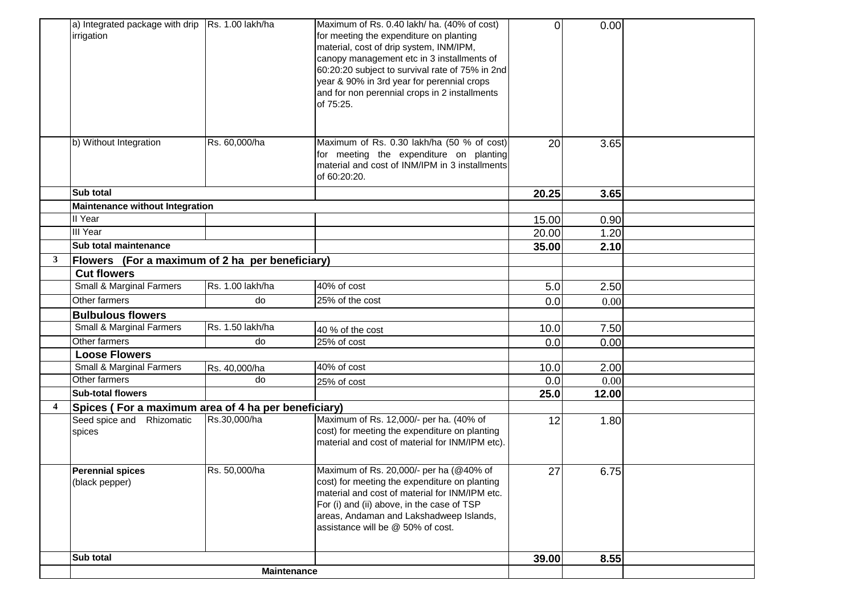|                         | a) Integrated package with drip   Rs. 1.00 lakh/ha  |                    | Maximum of Rs. 0.40 lakh/ ha. (40% of cost)     | $\overline{0}$ | 0.00  |  |
|-------------------------|-----------------------------------------------------|--------------------|-------------------------------------------------|----------------|-------|--|
|                         | irrigation                                          |                    | for meeting the expenditure on planting         |                |       |  |
|                         |                                                     |                    | material, cost of drip system, INM/IPM,         |                |       |  |
|                         |                                                     |                    | canopy management etc in 3 installments of      |                |       |  |
|                         |                                                     |                    | 60:20:20 subject to survival rate of 75% in 2nd |                |       |  |
|                         |                                                     |                    | year & 90% in 3rd year for perennial crops      |                |       |  |
|                         |                                                     |                    | and for non perennial crops in 2 installments   |                |       |  |
|                         |                                                     |                    | of 75:25.                                       |                |       |  |
|                         |                                                     |                    |                                                 |                |       |  |
|                         |                                                     |                    |                                                 |                |       |  |
|                         |                                                     |                    |                                                 |                |       |  |
|                         | b) Without Integration                              | Rs. 60,000/ha      | Maximum of Rs. 0.30 lakh/ha (50 % of cost)      | 20             | 3.65  |  |
|                         |                                                     |                    | for meeting the expenditure on planting         |                |       |  |
|                         |                                                     |                    | material and cost of INM/IPM in 3 installments  |                |       |  |
|                         |                                                     |                    | of 60:20:20.                                    |                |       |  |
|                         | Sub total                                           |                    |                                                 | 20.25          | 3.65  |  |
|                         | <b>Maintenance without Integration</b>              |                    |                                                 |                |       |  |
|                         | II Year                                             |                    |                                                 | 15.00          | 0.90  |  |
|                         | III Year                                            |                    |                                                 | 20.00          | 1.20  |  |
|                         | <b>Sub total maintenance</b>                        |                    |                                                 | 35.00          | 2.10  |  |
| $\mathbf{3}$            | Flowers (For a maximum of 2 ha per beneficiary)     |                    |                                                 |                |       |  |
|                         | <b>Cut flowers</b>                                  |                    |                                                 |                |       |  |
|                         | Small & Marginal Farmers                            | Rs. 1.00 lakh/ha   | 40% of cost                                     | 5.0            | 2.50  |  |
|                         | Other farmers                                       | do                 | 25% of the cost                                 | 0.0            | 0.00  |  |
|                         | <b>Bulbulous flowers</b>                            |                    |                                                 |                |       |  |
|                         | Small & Marginal Farmers                            | Rs. 1.50 lakh/ha   | 40 % of the cost                                | 10.0           | 7.50  |  |
|                         | Other farmers                                       | do                 | 25% of cost                                     | 0.0            | 0.00  |  |
|                         | <b>Loose Flowers</b>                                |                    |                                                 |                |       |  |
|                         | Small & Marginal Farmers                            | Rs. 40,000/ha      | 40% of cost                                     | 10.0           | 2.00  |  |
|                         | Other farmers                                       | do                 | 25% of cost                                     | 0.0            | 0.00  |  |
|                         | <b>Sub-total flowers</b>                            |                    |                                                 | 25.0           | 12.00 |  |
| $\overline{\mathbf{4}}$ | Spices (For a maximum area of 4 ha per beneficiary) |                    |                                                 |                |       |  |
|                         | Seed spice and Rhizomatic                           | Rs.30,000/ha       | Maximum of Rs. 12,000/- per ha. (40% of         | 12             | 1.80  |  |
|                         | spices                                              |                    | cost) for meeting the expenditure on planting   |                |       |  |
|                         |                                                     |                    | material and cost of material for INM/IPM etc). |                |       |  |
|                         |                                                     |                    |                                                 |                |       |  |
|                         | <b>Perennial spices</b>                             | Rs. 50,000/ha      | Maximum of Rs. 20,000/- per ha (@40% of         | 27             | 6.75  |  |
|                         | (black pepper)                                      |                    | cost) for meeting the expenditure on planting   |                |       |  |
|                         |                                                     |                    | material and cost of material for INM/IPM etc.  |                |       |  |
|                         |                                                     |                    | For (i) and (ii) above, in the case of TSP      |                |       |  |
|                         |                                                     |                    | areas, Andaman and Lakshadweep Islands,         |                |       |  |
|                         |                                                     |                    | assistance will be @ 50% of cost.               |                |       |  |
|                         |                                                     |                    |                                                 |                |       |  |
|                         | Sub total                                           |                    |                                                 | 39.00          | 8.55  |  |
|                         |                                                     | <b>Maintenance</b> |                                                 |                |       |  |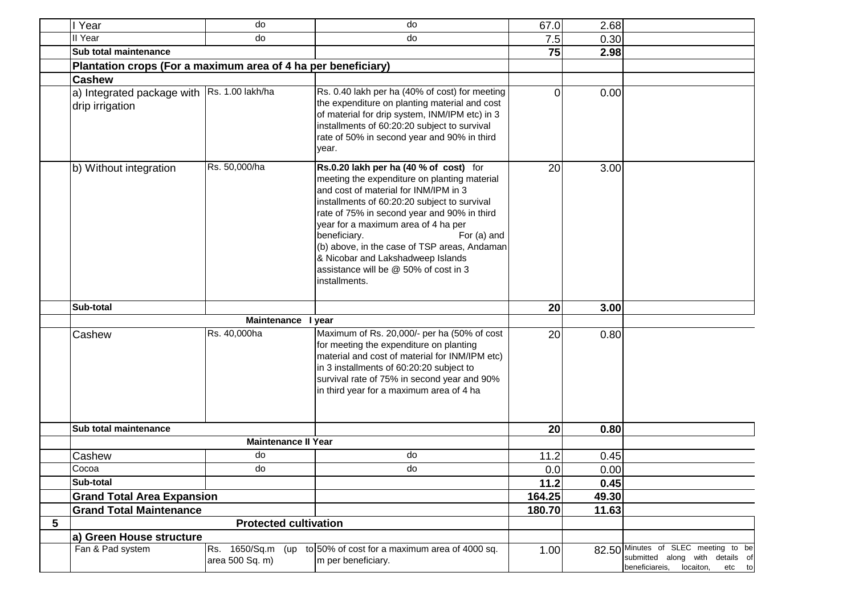|   | I Year                                                         | do                                   | do                                                                                                                                                                                                                                                                                                                                                                                                                                                  | 67.0   | 2.68  |                                                                                                              |
|---|----------------------------------------------------------------|--------------------------------------|-----------------------------------------------------------------------------------------------------------------------------------------------------------------------------------------------------------------------------------------------------------------------------------------------------------------------------------------------------------------------------------------------------------------------------------------------------|--------|-------|--------------------------------------------------------------------------------------------------------------|
|   | II Year                                                        | do                                   | do                                                                                                                                                                                                                                                                                                                                                                                                                                                  | 7.5    | 0.30  |                                                                                                              |
|   | Sub total maintenance                                          |                                      |                                                                                                                                                                                                                                                                                                                                                                                                                                                     | 75     | 2.98  |                                                                                                              |
|   | Plantation crops (For a maximum area of 4 ha per beneficiary)  |                                      |                                                                                                                                                                                                                                                                                                                                                                                                                                                     |        |       |                                                                                                              |
|   | <b>Cashew</b>                                                  |                                      |                                                                                                                                                                                                                                                                                                                                                                                                                                                     |        |       |                                                                                                              |
|   | a) Integrated package with Rs. 1.00 lakh/ha<br>drip irrigation |                                      | Rs. 0.40 lakh per ha (40% of cost) for meeting<br>the expenditure on planting material and cost<br>of material for drip system, INM/IPM etc) in 3<br>installments of 60:20:20 subject to survival<br>rate of 50% in second year and 90% in third<br>year.                                                                                                                                                                                           | 0      | 0.00  |                                                                                                              |
|   | b) Without integration                                         | Rs. 50,000/ha                        | Rs.0.20 lakh per ha (40 % of cost) for<br>meeting the expenditure on planting material<br>and cost of material for INM/IPM in 3<br>installments of 60:20:20 subject to survival<br>rate of 75% in second year and 90% in third<br>year for a maximum area of 4 ha per<br>beneficiary.<br>For (a) and<br>(b) above, in the case of TSP areas, Andaman<br>& Nicobar and Lakshadweep Islands<br>assistance will be @ 50% of cost in 3<br>installments. | 20     | 3.00  |                                                                                                              |
|   | Sub-total                                                      |                                      |                                                                                                                                                                                                                                                                                                                                                                                                                                                     | 20     | 3.00  |                                                                                                              |
|   |                                                                | Maintenance I year                   |                                                                                                                                                                                                                                                                                                                                                                                                                                                     |        |       |                                                                                                              |
|   | Cashew                                                         | Rs. 40,000ha                         | Maximum of Rs. 20,000/- per ha (50% of cost<br>for meeting the expenditure on planting<br>material and cost of material for INM/IPM etc)<br>in 3 installments of 60:20:20 subject to<br>survival rate of 75% in second year and 90%<br>in third year for a maximum area of 4 ha                                                                                                                                                                     | 20     | 0.80  |                                                                                                              |
|   | Sub total maintenance                                          |                                      |                                                                                                                                                                                                                                                                                                                                                                                                                                                     | 20     | 0.80  |                                                                                                              |
|   |                                                                | <b>Maintenance II Year</b>           |                                                                                                                                                                                                                                                                                                                                                                                                                                                     |        |       |                                                                                                              |
|   | Cashew                                                         | do                                   | do                                                                                                                                                                                                                                                                                                                                                                                                                                                  | 11.2   | 0.45  |                                                                                                              |
|   | Cocoa                                                          | do                                   | do                                                                                                                                                                                                                                                                                                                                                                                                                                                  | 0.0    | 0.00  |                                                                                                              |
|   | Sub-total                                                      |                                      |                                                                                                                                                                                                                                                                                                                                                                                                                                                     | 11.2   | 0.45  |                                                                                                              |
|   | <b>Grand Total Area Expansion</b>                              |                                      |                                                                                                                                                                                                                                                                                                                                                                                                                                                     | 164.25 | 49.30 |                                                                                                              |
|   | <b>Grand Total Maintenance</b>                                 |                                      |                                                                                                                                                                                                                                                                                                                                                                                                                                                     | 180.70 | 11.63 |                                                                                                              |
| 5 |                                                                | <b>Protected cultivation</b>         |                                                                                                                                                                                                                                                                                                                                                                                                                                                     |        |       |                                                                                                              |
|   | a) Green House structure                                       |                                      |                                                                                                                                                                                                                                                                                                                                                                                                                                                     |        |       |                                                                                                              |
|   | Fan & Pad system                                               | Rs. 1650/Sq.m (up<br>area 500 Sq. m) | to 50% of cost for a maximum area of 4000 sq.<br>m per beneficiary.                                                                                                                                                                                                                                                                                                                                                                                 | 1.00   |       | 82.50 Minutes of SLEC meeting to be<br>submitted along with details of<br>beneficiareis, locaiton,<br>etc to |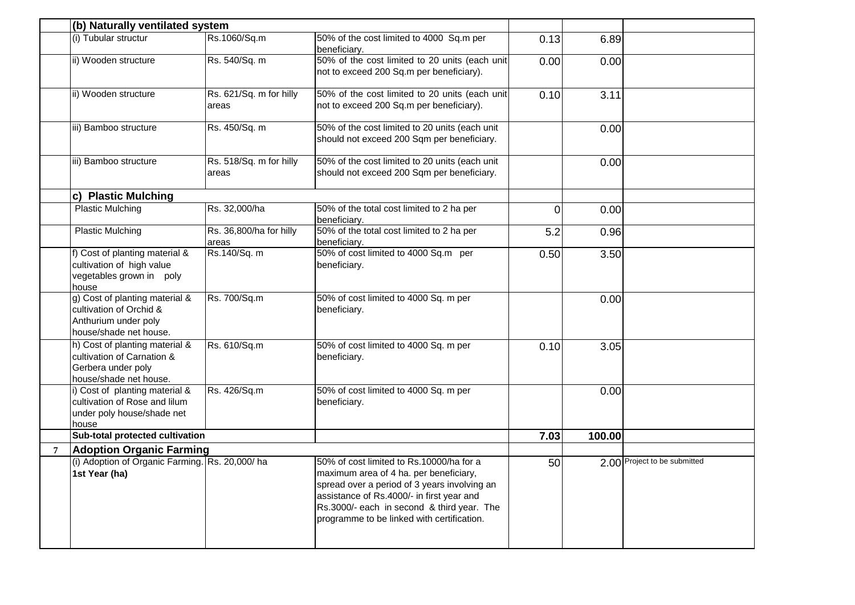|                | (b) Naturally ventilated system                                                                              |                                  |                                                                                                                                                                                                                                                                             |      |        |                              |
|----------------|--------------------------------------------------------------------------------------------------------------|----------------------------------|-----------------------------------------------------------------------------------------------------------------------------------------------------------------------------------------------------------------------------------------------------------------------------|------|--------|------------------------------|
|                | (i) Tubular structur                                                                                         | Rs.1060/Sq.m                     | 50% of the cost limited to 4000 Sq.m per<br>beneficiary.                                                                                                                                                                                                                    | 0.13 | 6.89   |                              |
|                | ii) Wooden structure                                                                                         | Rs. 540/Sq. m                    | 50% of the cost limited to 20 units (each unit<br>not to exceed 200 Sq.m per beneficiary).                                                                                                                                                                                  | 0.00 | 0.00   |                              |
|                | ii) Wooden structure                                                                                         | Rs. 621/Sq. m for hilly<br>areas | 50% of the cost limited to 20 units (each unit<br>not to exceed 200 Sq.m per beneficiary).                                                                                                                                                                                  | 0.10 | 3.11   |                              |
|                | iii) Bamboo structure                                                                                        | Rs. 450/Sq. m                    | 50% of the cost limited to 20 units (each unit<br>should not exceed 200 Sqm per beneficiary.                                                                                                                                                                                |      | 0.00   |                              |
|                | iii) Bamboo structure                                                                                        | Rs. 518/Sq. m for hilly<br>areas | 50% of the cost limited to 20 units (each unit<br>should not exceed 200 Sqm per beneficiary.                                                                                                                                                                                |      | 0.00   |                              |
|                | c) Plastic Mulching                                                                                          |                                  |                                                                                                                                                                                                                                                                             |      |        |                              |
|                | <b>Plastic Mulching</b>                                                                                      | Rs. 32,000/ha                    | 50% of the total cost limited to 2 ha per<br>beneficiary.                                                                                                                                                                                                                   | 0    | 0.00   |                              |
|                | <b>Plastic Mulching</b>                                                                                      | Rs. 36,800/ha for hilly<br>areas | 50% of the total cost limited to 2 ha per<br>beneficiary.                                                                                                                                                                                                                   | 5.2  | 0.96   |                              |
|                | f) Cost of planting material &<br>cultivation of high value<br>vegetables grown in poly<br>house             | Rs.140/Sq. m                     | 50% of cost limited to 4000 Sq.m per<br>beneficiary.                                                                                                                                                                                                                        | 0.50 | 3.50   |                              |
|                | g) Cost of planting material &<br>cultivation of Orchid &<br>Anthurium under poly<br>house/shade net house.  | Rs. 700/Sq.m                     | 50% of cost limited to 4000 Sq. m per<br>beneficiary.                                                                                                                                                                                                                       |      | 0.00   |                              |
|                | h) Cost of planting material &<br>cultivation of Carnation &<br>Gerbera under poly<br>house/shade net house. | Rs. 610/Sq.m                     | 50% of cost limited to 4000 Sq. m per<br>beneficiary.                                                                                                                                                                                                                       | 0.10 | 3.05   |                              |
|                | i) Cost of planting material &<br>cultivation of Rose and lilum<br>under poly house/shade net<br>house       | Rs. 426/Sq.m                     | 50% of cost limited to 4000 Sq. m per<br>beneficiary.                                                                                                                                                                                                                       |      | 0.00   |                              |
|                | Sub-total protected cultivation                                                                              |                                  |                                                                                                                                                                                                                                                                             | 7.03 | 100.00 |                              |
| $\overline{7}$ | <b>Adoption Organic Farming</b>                                                                              |                                  |                                                                                                                                                                                                                                                                             |      |        |                              |
|                | (i) Adoption of Organic Farming. Rs. 20,000/ha<br>1st Year (ha)                                              |                                  | 50% of cost limited to Rs.10000/ha for a<br>maximum area of 4 ha. per beneficiary,<br>spread over a period of 3 years involving an<br>assistance of Rs.4000/- in first year and<br>Rs.3000/- each in second & third year. The<br>programme to be linked with certification. | 50   |        | 2.00 Project to be submitted |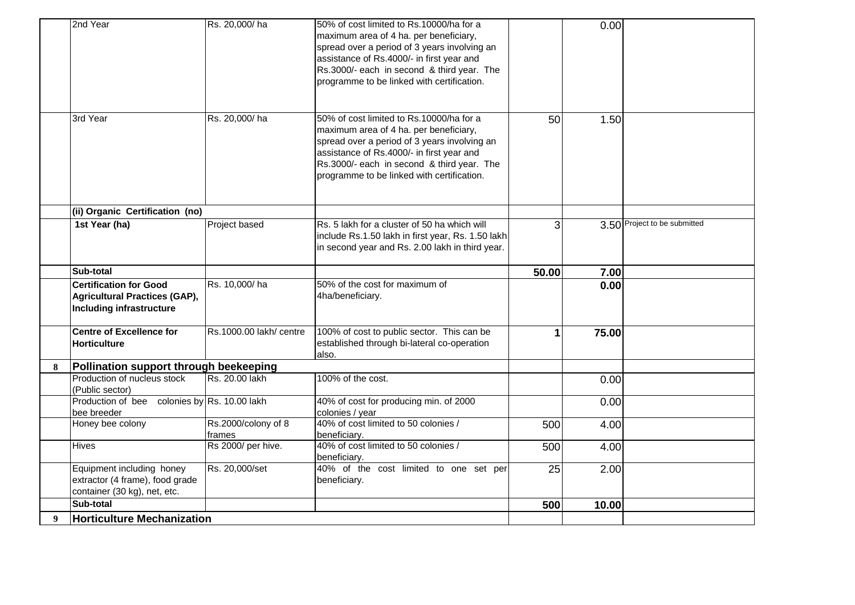|   | 2nd Year                                                                                     | Rs. 20,000/ha                 | 50% of cost limited to Rs.10000/ha for a<br>maximum area of 4 ha. per beneficiary,<br>spread over a period of 3 years involving an<br>assistance of Rs.4000/- in first year and<br>Rs.3000/- each in second & third year. The<br>programme to be linked with certification. |       | 0.00  |                              |
|---|----------------------------------------------------------------------------------------------|-------------------------------|-----------------------------------------------------------------------------------------------------------------------------------------------------------------------------------------------------------------------------------------------------------------------------|-------|-------|------------------------------|
|   | 3rd Year                                                                                     | Rs. 20,000/ha                 | 50% of cost limited to Rs.10000/ha for a<br>maximum area of 4 ha. per beneficiary,<br>spread over a period of 3 years involving an<br>assistance of Rs.4000/- in first year and<br>Rs.3000/- each in second & third year. The<br>programme to be linked with certification. | 50    | 1.50  |                              |
|   | (ii) Organic Certification (no)                                                              |                               |                                                                                                                                                                                                                                                                             |       |       |                              |
|   | 1st Year (ha)                                                                                | Project based                 | Rs. 5 lakh for a cluster of 50 ha which will<br>include Rs.1.50 lakh in first year, Rs. 1.50 lakh<br>in second year and Rs. 2.00 lakh in third year.                                                                                                                        | 3     |       | 3.50 Project to be submitted |
|   | Sub-total                                                                                    |                               |                                                                                                                                                                                                                                                                             | 50.00 | 7.00  |                              |
|   | <b>Certification for Good</b><br>Agricultural Practices (GAP),<br>Including infrastructure   | Rs. 10,000/ha                 | 50% of the cost for maximum of<br>4ha/beneficiary.                                                                                                                                                                                                                          |       | 0.00  |                              |
|   | <b>Centre of Excellence for</b><br>Horticulture                                              | Rs.1000.00 lakh/ centre       | 100% of cost to public sector. This can be<br>established through bi-lateral co-operation<br>also.                                                                                                                                                                          | 1     | 75.00 |                              |
| 8 | Pollination support through beekeeping                                                       |                               |                                                                                                                                                                                                                                                                             |       |       |                              |
|   | Production of nucleus stock<br>(Public sector)                                               | Rs. 20.00 lakh                | 100% of the cost.                                                                                                                                                                                                                                                           |       | 0.00  |                              |
|   | Production of bee colonies by Rs. 10.00 lakh<br>bee breeder                                  |                               | 40% of cost for producing min. of 2000<br>colonies / year                                                                                                                                                                                                                   |       | 0.00  |                              |
|   | Honey bee colony                                                                             | Rs.2000/colony of 8<br>frames | 40% of cost limited to 50 colonies /<br>beneficiary.                                                                                                                                                                                                                        | 500   | 4.00  |                              |
|   | <b>Hives</b>                                                                                 | Rs 2000/ per hive.            | 40% of cost limited to 50 colonies /<br>beneficiarv.                                                                                                                                                                                                                        | 500   | 4.00  |                              |
|   | Equipment including honey<br>extractor (4 frame), food grade<br>container (30 kg), net, etc. | Rs. 20,000/set                | 40% of the cost limited to one set per<br>beneficiary.                                                                                                                                                                                                                      | 25    | 2.00  |                              |
|   | Sub-total                                                                                    |                               |                                                                                                                                                                                                                                                                             | 500   | 10.00 |                              |
| 9 | <b>Horticulture Mechanization</b>                                                            |                               |                                                                                                                                                                                                                                                                             |       |       |                              |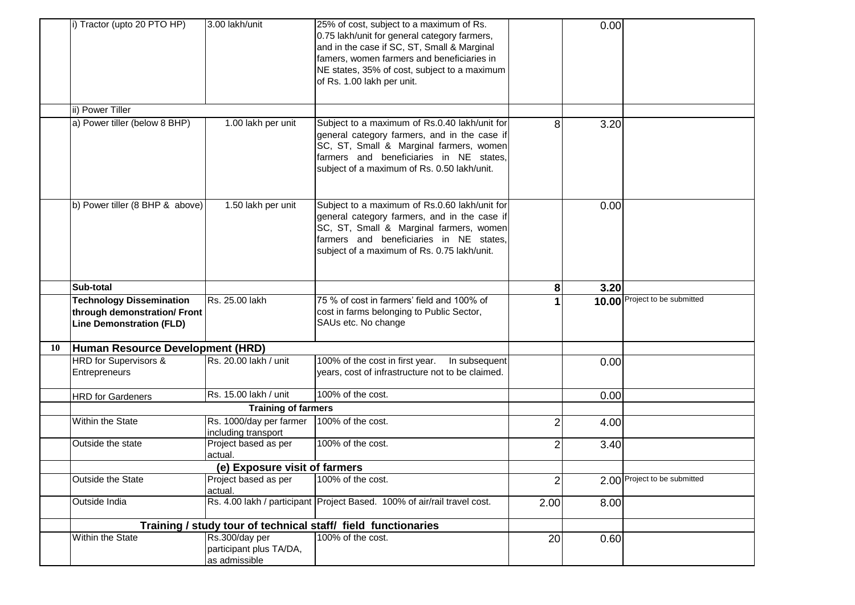|    | i) Tractor (upto 20 PTO HP)                                                                        | 3.00 lakh/unit                                             | 25% of cost, subject to a maximum of Rs.<br>0.75 lakh/unit for general category farmers,<br>and in the case if SC, ST, Small & Marginal<br>famers, women farmers and beneficiaries in<br>NE states, 35% of cost, subject to a maximum<br>of Rs. 1.00 lakh per unit. |                | 0.00 |                               |
|----|----------------------------------------------------------------------------------------------------|------------------------------------------------------------|---------------------------------------------------------------------------------------------------------------------------------------------------------------------------------------------------------------------------------------------------------------------|----------------|------|-------------------------------|
|    | ii) Power Tiller                                                                                   |                                                            |                                                                                                                                                                                                                                                                     |                |      |                               |
|    | a) Power tiller (below 8 BHP)                                                                      | 1.00 lakh per unit                                         | Subject to a maximum of Rs.0.40 lakh/unit for<br>general category farmers, and in the case if<br>SC, ST, Small & Marginal farmers, women<br>farmers and beneficiaries in NE states,<br>subject of a maximum of Rs. 0.50 lakh/unit.                                  | 8              | 3.20 |                               |
|    | b) Power tiller (8 BHP & above)                                                                    | 1.50 lakh per unit                                         | Subject to a maximum of Rs.0.60 lakh/unit for<br>general category farmers, and in the case if<br>SC, ST, Small & Marginal farmers, women<br>farmers and beneficiaries in NE states,<br>subject of a maximum of Rs. 0.75 lakh/unit.                                  |                | 0.00 |                               |
|    | Sub-total                                                                                          |                                                            |                                                                                                                                                                                                                                                                     | 8              | 3.20 |                               |
|    | <b>Technology Dissemination</b><br>through demonstration/ Front<br><b>Line Demonstration (FLD)</b> | Rs. 25.00 lakh                                             | 75 % of cost in farmers' field and 100% of<br>cost in farms belonging to Public Sector,<br>SAUs etc. No change                                                                                                                                                      |                |      | 10.00 Project to be submitted |
| 10 | Human Resource Development (HRD)                                                                   |                                                            |                                                                                                                                                                                                                                                                     |                |      |                               |
|    | HRD for Supervisors &<br>Entrepreneurs                                                             | Rs. 20.00 lakh / unit                                      | 100% of the cost in first year.<br>In subsequent<br>years, cost of infrastructure not to be claimed.                                                                                                                                                                |                | 0.00 |                               |
|    | <b>HRD</b> for Gardeners                                                                           | Rs. 15.00 lakh / unit                                      | 100% of the cost.                                                                                                                                                                                                                                                   |                | 0.00 |                               |
|    |                                                                                                    | <b>Training of farmers</b>                                 |                                                                                                                                                                                                                                                                     |                |      |                               |
|    | Within the State                                                                                   | Rs. 1000/day per farmer<br>including transport             | 100% of the cost.                                                                                                                                                                                                                                                   | $\overline{2}$ | 4.00 |                               |
|    | Outside the state                                                                                  | Project based as per<br>actual.                            | 100% of the cost.                                                                                                                                                                                                                                                   | $\overline{2}$ | 3.40 |                               |
|    |                                                                                                    | (e) Exposure visit of farmers                              |                                                                                                                                                                                                                                                                     |                |      |                               |
|    | Outside the State                                                                                  | Project based as per<br>actual.                            | 100% of the cost.                                                                                                                                                                                                                                                   | $\overline{2}$ |      | 2.00 Project to be submitted  |
|    | Outside India                                                                                      |                                                            | Rs. 4.00 lakh / participant   Project Based. 100% of air/rail travel cost.                                                                                                                                                                                          | 2.00           | 8.00 |                               |
|    |                                                                                                    |                                                            | Training / study tour of technical staff/ field functionaries                                                                                                                                                                                                       |                |      |                               |
|    | Within the State                                                                                   | Rs.300/day per<br>participant plus TA/DA,<br>as admissible | 100% of the cost.                                                                                                                                                                                                                                                   | 20             | 0.60 |                               |